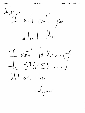Trom 7

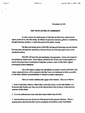November 10, 1991

## EHN TRUST LETTER OF AGREEMENT:

In order to honor the achievements of John Ehn, the Ehn Trust wishes that the objects produced by John Ehn during his lifetime be placed in museums, galleries or institutions, through donations, purchase, or otherwise preserved for public viewing.

The Ehn trust hereby gives to SPACES, (Saving and Preserving Arts and Cultural Environments), through their spokesman, Seymour Rosen, the following objects listed on the Attached Inventory.

SPACES will locate the most prestiqious and appropriate versies and arrange for the distribution of these items. Some objects, selected by Mr. Rosen, may be kept together as a unit for short time loans to institutions to help them recreate a sense of John Ehn's original environment in their exhibitions.

Any of the objects, aniques and collectibles not needed or used by SPACES or the venues mentioned above will be returned to the Ehn Trust to be distributed as fairly as possible to John Ehn's children and grandchildren or donated to another organization.

There are certain conditions that apply to this donation. They are as follows:

1. Each of John Ehn's children, Clifford Ehn, Louise Ehn Stolp, Lormine Ehn Phillips, and Rosemarie Ehn Farrish, may select one of the objects listed in the Inventory as their personal memento of their father.

2. To avoid confusion they must make their choices before June 30,1992.

3. Seymour Rosen may also choose one of the pieces for his personal collection. This is a personal gift to him from the Ehn Trust in recognition of his efforts on the Trust Behalf.